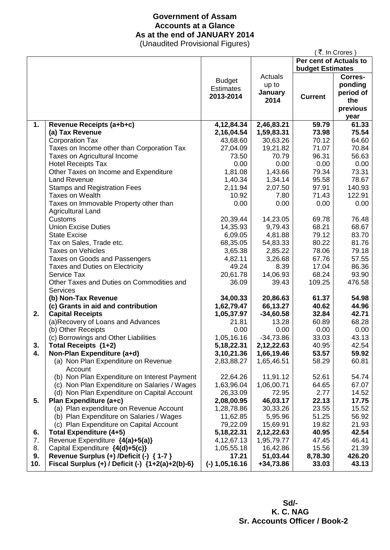## **Government of Assam Accounts at a Glance As at the end of JANUARY 2014**

(Unaudited Provisional Figures)

|     |                                                          |                  |                 |                         | ( ₹. In Crores ) |
|-----|----------------------------------------------------------|------------------|-----------------|-------------------------|------------------|
|     |                                                          |                  |                 | Per cent of Actuals to  |                  |
|     |                                                          |                  |                 | <b>budget Estimates</b> |                  |
|     |                                                          | <b>Budget</b>    | Actuals         |                         | Corres-          |
|     |                                                          | <b>Estimates</b> | up to           |                         | ponding          |
|     |                                                          | 2013-2014        | January         | <b>Current</b>          | period of        |
|     |                                                          |                  | 2014            |                         | the              |
|     |                                                          |                  |                 |                         | previous         |
|     |                                                          |                  |                 |                         | year             |
| 1.  | Revenue Receipts (a+b+c)                                 | 4, 12, 84. 34    | 2,46,83.21      | 59.79                   | 61.33            |
|     | (a) Tax Revenue                                          | 2,16,04.54       | 1,59,83.31      | 73.98                   | 75.54            |
|     | <b>Corporation Tax</b>                                   | 43,68.60         | 30,63.26        | 70.12                   | 64.60            |
|     | Taxes on Income other than Corporation Tax               | 27,04.09         | 19,21.82        | 71.07                   | 70.84            |
|     | Taxes on Agricultural Income                             | 73.50            | 70.79           | 96.31                   | 56.63            |
|     | <b>Hotel Receipts Tax</b>                                | 0.00             | 0.00            | 0.00                    | 0.00             |
|     | Other Taxes on Income and Expenditure                    | 1,81.08          | 1,43.66         | 79.34                   | 73.31            |
|     | <b>Land Revenue</b>                                      | 1,40.34          | 1,34.14         | 95.58                   | 78.67            |
|     | <b>Stamps and Registration Fees</b>                      | 2,11.94          | 2,07.50         | 97.91                   | 140.93           |
|     | <b>Taxes on Wealth</b>                                   | 10.92            | 7.80            | 71.43                   | 122.91           |
|     | Taxes on Immovable Property other than                   | 0.00             | 0.00            | 0.00                    | 0.00             |
|     | <b>Agricultural Land</b>                                 |                  |                 |                         |                  |
|     | Customs                                                  | 20,39.44         | 14,23.05        | 69.78                   | 76.48            |
|     | <b>Union Excise Duties</b>                               | 14,35.93         | 9,79.43         | 68.21                   | 68.67            |
|     | <b>State Excise</b>                                      | 6,09.05          | 4,81.88         | 79.12                   | 83.70            |
|     | Tax on Sales, Trade etc.                                 | 68,35.05         | 54,83.33        | 80.22                   | 81.76            |
|     | <b>Taxes on Vehicles</b>                                 | 3,65.38          | 2,85.22         | 78.06                   | 79.18<br>57.55   |
|     | Taxes on Goods and Passengers                            | 4,82.11<br>49.24 | 3,26.68<br>8.39 | 67.76<br>17.04          | 86.36            |
|     | Taxes and Duties on Electricity<br>Service Tax           | 20,61.78         | 14,06.93        | 68.24                   | 93.90            |
|     | Other Taxes and Duties on Commodities and                | 36.09            | 39.43           | 109.25                  | 476.58           |
|     | <b>Services</b>                                          |                  |                 |                         |                  |
|     | (b) Non-Tax Revenue                                      | 34,00.33         | 20,86.63        | 61.37                   | 54.98            |
|     | (c) Grants in aid and contribution                       | 1,62,79.47       | 66,13.27        | 40.62                   | 44.96            |
| 2.  | <b>Capital Receipts</b>                                  | 1,05,37.97       | $-34,60.58$     | 32.84                   | 42.71            |
|     | (a)Recovery of Loans and Advances                        | 21.81            | 13.28           | 60.89                   | 68.28            |
|     | (b) Other Receipts                                       | 0.00             | 0.00            | 0.00                    | 0.00             |
|     | (c) Borrowings and Other Liabilities                     | 1,05,16.16       | $-34,73.86$     | 33.03                   | 43.13            |
| 3.  | Total Receipts (1+2)                                     | 5, 18, 22. 31    | 2,12,22.63      | 40.95                   | 42.54            |
| 4.  | Non-Plan Expenditure (a+d)                               | 3,10,21.36       | 1,66,19.46      | 53.57                   | 59.92            |
|     | (a) Non Plan Expenditure on Revenue                      | 2,83,88.27       | 1,65,46.51      | 58.29                   | 60.81            |
|     | Account                                                  |                  |                 |                         |                  |
|     | (b) Non Plan Expenditure on Interest Payment             | 22,64.26         | 11,91.12        | 52.61                   | 54.74            |
|     | (c) Non Plan Expenditure on Salaries / Wages             | 1,63,96.04       | 1,06,00.71      | 64.65                   | 67.07            |
|     | (d) Non Plan Expenditure on Capital Account              | 26,33.09         | 72.95           | 2.77                    | 14.52            |
| 5.  | Plan Expenditure (a+c)                                   | 2,08,00.95       | 46,03.17        | 22.13                   | 17.75            |
|     | (a) Plan expenditure on Revenue Account                  | 1,28,78.86       | 30,33.26        | 23.55                   | 15.52            |
|     | (b) Plan Expenditure on Salaries / Wages                 | 11,62.85         | 5,95.96         | 51.25                   | 56.92            |
|     | (c) Plan Expenditure on Capital Account                  | 79,22.09         | 15,69.91        | 19.82                   | 21.93            |
| 6.  | Total Expenditure (4+5)                                  | 5, 18, 22. 31    | 2,12,22.63      | 40.95                   | 42.54            |
| 7.  | Revenue Expenditure {4(a)+5(a)}                          | 4, 12, 67. 13    | 1,95,79.77      | 47.45                   | 46.41            |
| 8.  | Capital Expenditure {4(d)+5(c)}                          | 1,05,55.18       | 16,42.86        | 15.56                   | 21.39            |
| 9.  | Revenue Surplus (+) /Deficit (-) { 1-7 }                 | 17.21            | 51,03.44        | 8,78.30                 | 426.20           |
| 10. | Fiscal Surplus $(+)$ / Deficit $(-)$ $\{1+2(a)+2(b)-6\}$ | $(-)$ 1,05,16.16 | +34,73.86       | 33.03                   | 43.13            |
|     |                                                          |                  |                 |                         |                  |

 **Sd/- K. C. NAG Sr. Accounts Officer / Book-2**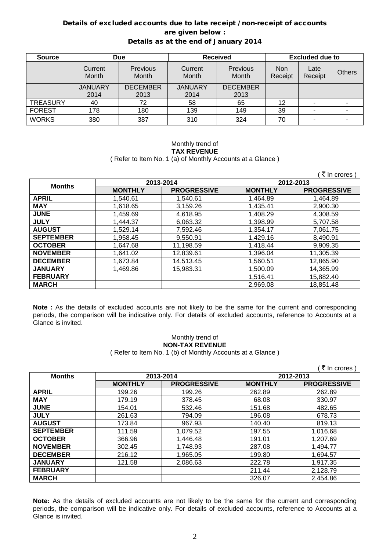### Details of excluded accounts due to late receipt / non-receipt of accounts are given below : Details as at the end of January 2014

| <b>Source</b>   | <b>Due</b>       |                          | <b>Received</b>  |                   | <b>Excluded due to</b> |                 |               |
|-----------------|------------------|--------------------------|------------------|-------------------|------------------------|-----------------|---------------|
|                 | Current<br>Month | <b>Previous</b><br>Month | Current<br>Month | Previous<br>Month | <b>Non</b><br>Receipt  | Late<br>Receipt | <b>Others</b> |
|                 | <b>JANUARY</b>   | <b>DECEMBER</b>          | <b>JANUARY</b>   | <b>DECEMBER</b>   |                        |                 |               |
|                 | 2014             | 2013                     | 2014             | 2013              |                        |                 |               |
| <b>TREASURY</b> | 40               | 72                       | 58               | 65                | 12                     |                 |               |
| <b>FOREST</b>   | 178              | 180                      | 139              | 149               | 39                     |                 |               |
| <b>WORKS</b>    | 380              | 387                      | 310              | 324               | 70                     |                 |               |

#### Monthly trend of **TAX REVENUE** ( Refer to Item No. 1 (a) of Monthly Accounts at a Glance )

|                  |                |                    |                | ∶ ₹ In crores )    |
|------------------|----------------|--------------------|----------------|--------------------|
| <b>Months</b>    |                | 2013-2014          |                | 2012-2013          |
|                  | <b>MONTHLY</b> | <b>PROGRESSIVE</b> | <b>MONTHLY</b> | <b>PROGRESSIVE</b> |
| <b>APRIL</b>     | 1.540.61       | 1,540.61           | 1,464.89       | 1.464.89           |
| <b>MAY</b>       | 1,618.65       | 3,159.26           | 1,435.41       | 2,900.30           |
| <b>JUNE</b>      | 1.459.69       | 4,618.95           | 1.408.29       | 4,308.59           |
| <b>JULY</b>      | 1,444.37       | 6,063.32           | 1,398.99       | 5,707.58           |
| <b>AUGUST</b>    | 1,529.14       | 7,592.46           | 1,354.17       | 7,061.75           |
| <b>SEPTEMBER</b> | 1,958.45       | 9,550.91           | 1,429.16       | 8,490.91           |
| <b>OCTOBER</b>   | 1,647.68       | 11,198.59          | 1,418.44       | 9,909.35           |
| <b>NOVEMBER</b>  | 1.641.02       | 12,839.61          | 1,396.04       | 11,305.39          |
| <b>DECEMBER</b>  | 1,673.84       | 14,513.45          | 1,560.51       | 12,865.90          |
| <b>JANUARY</b>   | 1,469.86       | 15,983.31          | 1,500.09       | 14,365.99          |
| <b>FEBRUARY</b>  |                |                    | 1,516.41       | 15,882.40          |
| <b>MARCH</b>     |                |                    | 2,969.08       | 18,851.48          |

**Note :** As the details of excluded accounts are not likely to be the same for the current and corresponding periods, the comparison will be indicative only. For details of excluded accounts, reference to Accounts at a Glance is invited.

## Monthly trend of **NON-TAX REVENUE**

( Refer to Item No. 1 (b) of Monthly Accounts at a Glance )

|                  |                |                    |                | ₹ In crores        |
|------------------|----------------|--------------------|----------------|--------------------|
| <b>Months</b>    | 2013-2014      |                    |                | 2012-2013          |
|                  | <b>MONTHLY</b> | <b>PROGRESSIVE</b> | <b>MONTHLY</b> | <b>PROGRESSIVE</b> |
| <b>APRIL</b>     | 199.26         | 199.26             | 262.89         | 262.89             |
| <b>MAY</b>       | 179.19         | 378.45             | 68.08          | 330.97             |
| <b>JUNE</b>      | 154.01         | 532.46             | 151.68         | 482.65             |
| <b>JULY</b>      | 261.63         | 794.09             | 196.08         | 678.73             |
| <b>AUGUST</b>    | 173.84         | 967.93             | 140.40         | 819.13             |
| <b>SEPTEMBER</b> | 111.59         | 1,079.52           | 197.55         | 1,016.68           |
| <b>OCTOBER</b>   | 366.96         | 1,446.48           | 191.01         | 1,207.69           |
| <b>NOVEMBER</b>  | 302.45         | 1,748.93           | 287.08         | 1,494.77           |
| <b>DECEMBER</b>  | 216.12         | 1,965.05           | 199.80         | 1,694.57           |
| <b>JANUARY</b>   | 121.58         | 2,086.63           | 222.78         | 1,917.35           |
| <b>FEBRUARY</b>  |                |                    | 211.44         | 2,128.79           |
| <b>MARCH</b>     |                |                    | 326.07         | 2,454.86           |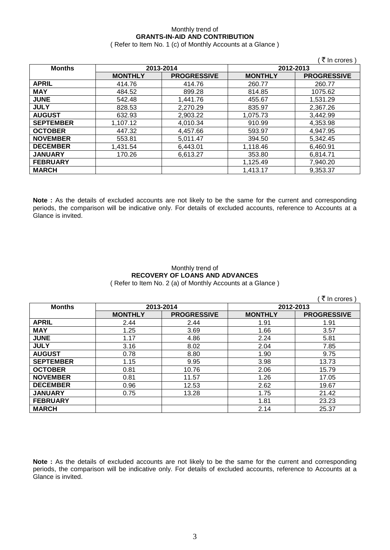# Monthly trend of **GRANTS-IN-AID AND CONTRIBUTION**

( Refer to Item No. 1 (c) of Monthly Accounts at a Glance )

| <b>Months</b>    |                | 2013-2014          |                | 2012-2013          |
|------------------|----------------|--------------------|----------------|--------------------|
|                  | <b>MONTHLY</b> | <b>PROGRESSIVE</b> | <b>MONTHLY</b> | <b>PROGRESSIVE</b> |
| <b>APRIL</b>     | 414.76         | 414.76             | 260.77         | 260.77             |
| <b>MAY</b>       | 484.52         | 899.28             | 814.85         | 1075.62            |
| <b>JUNE</b>      | 542.48         | 1.441.76           | 455.67         | 1,531.29           |
| <b>JULY</b>      | 828.53         | 2,270.29           | 835.97         | 2,367.26           |
| <b>AUGUST</b>    | 632.93         | 2,903.22           | 1,075.73       | 3,442.99           |
| <b>SEPTEMBER</b> | 1,107.12       | 4,010.34           | 910.99         | 4,353.98           |
| <b>OCTOBER</b>   | 447.32         | 4,457.66           | 593.97         | 4,947.95           |
| <b>NOVEMBER</b>  | 553.81         | 5,011.47           | 394.50         | 5,342.45           |
| <b>DECEMBER</b>  | 1,431.54       | 6,443.01           | 1,118.46       | 6,460.91           |
| <b>JANUARY</b>   | 170.26         | 6.613.27           | 353.80         | 6,814.71           |
| <b>FEBRUARY</b>  |                |                    | 1,125.49       | 7,940.20           |
| <b>MARCH</b>     |                |                    | 1,413.17       | 9,353.37           |

**Note :** As the details of excluded accounts are not likely to be the same for the current and corresponding periods, the comparison will be indicative only. For details of excluded accounts, reference to Accounts at a Glance is invited.

### Monthly trend of **RECOVERY OF LOANS AND ADVANCES** ( Refer to Item No. 2 (a) of Monthly Accounts at a Glance )

|                  |                |                    |                | ₹ In crores        |
|------------------|----------------|--------------------|----------------|--------------------|
| <b>Months</b>    |                | 2013-2014          | 2012-2013      |                    |
|                  | <b>MONTHLY</b> | <b>PROGRESSIVE</b> | <b>MONTHLY</b> | <b>PROGRESSIVE</b> |
| <b>APRIL</b>     | 2.44           | 2.44               | 1.91           | 1.91               |
| <b>MAY</b>       | 1.25           | 3.69               | 1.66           | 3.57               |
| <b>JUNE</b>      | 1.17           | 4.86               | 2.24           | 5.81               |
| <b>JULY</b>      | 3.16           | 8.02               | 2.04           | 7.85               |
| <b>AUGUST</b>    | 0.78           | 8.80               | 1.90           | 9.75               |
| <b>SEPTEMBER</b> | 1.15           | 9.95               | 3.98           | 13.73              |
| <b>OCTOBER</b>   | 0.81           | 10.76              | 2.06           | 15.79              |
| <b>NOVEMBER</b>  | 0.81           | 11.57              | 1.26           | 17.05              |
| <b>DECEMBER</b>  | 0.96           | 12.53              | 2.62           | 19.67              |
| <b>JANUARY</b>   | 0.75           | 13.28              | 1.75           | 21.42              |
| <b>FEBRUARY</b>  |                |                    | 1.81           | 23.23              |
| <b>MARCH</b>     |                |                    | 2.14           | 25.37              |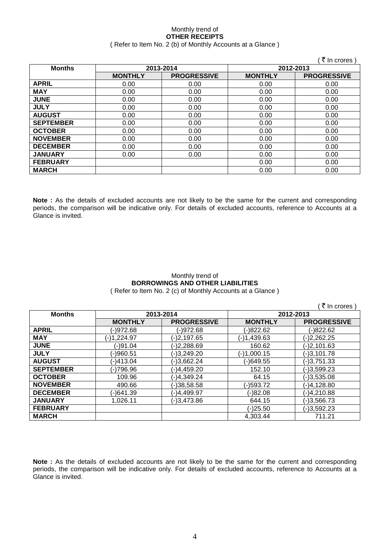#### Monthly trend of **OTHER RECEIPTS** ( Refer to Item No. 2 (b) of Monthly Accounts at a Glance )

|                  |                |                    |                | ∶ ₹ In crores)     |
|------------------|----------------|--------------------|----------------|--------------------|
| <b>Months</b>    |                | 2013-2014          | 2012-2013      |                    |
|                  | <b>MONTHLY</b> | <b>PROGRESSIVE</b> | <b>MONTHLY</b> | <b>PROGRESSIVE</b> |
| <b>APRIL</b>     | 0.00           | 0.00               | 0.00           | 0.00               |
| <b>MAY</b>       | 0.00           | 0.00               | 0.00           | 0.00               |
| <b>JUNE</b>      | 0.00           | 0.00               | 0.00           | 0.00               |
| <b>JULY</b>      | 0.00           | 0.00               | 0.00           | 0.00               |
| <b>AUGUST</b>    | 0.00           | 0.00               | 0.00           | 0.00               |
| <b>SEPTEMBER</b> | 0.00           | 0.00               | 0.00           | 0.00               |
| <b>OCTOBER</b>   | 0.00           | 0.00               | 0.00           | 0.00               |
| <b>NOVEMBER</b>  | 0.00           | 0.00               | 0.00           | 0.00               |
| <b>DECEMBER</b>  | 0.00           | 0.00               | 0.00           | 0.00               |
| <b>JANUARY</b>   | 0.00           | 0.00               | 0.00           | 0.00               |
| <b>FEBRUARY</b>  |                |                    | 0.00           | 0.00               |
| <b>MARCH</b>     |                |                    | 0.00           | 0.00               |

**Note :** As the details of excluded accounts are not likely to be the same for the current and corresponding periods, the comparison will be indicative only. For details of excluded accounts, reference to Accounts at a Glance is invited.

### Monthly trend of **BORROWINGS AND OTHER LIABILITIES** ( Refer to Item No. 2 (c) of Monthly Accounts at a Glance )

 $($   $\overline{z}$  In crores )

| <b>Months</b>    | 2013-2014      |                    |                | 2012-2013          |
|------------------|----------------|--------------------|----------------|--------------------|
|                  | <b>MONTHLY</b> | <b>PROGRESSIVE</b> | <b>MONTHLY</b> | <b>PROGRESSIVE</b> |
| <b>APRIL</b>     | (-)972.68      | (-)972.68          | (-)822.62      | (-)822.62          |
| <b>MAY</b>       | $(-)1,224.97$  | (-)2,197.65        | (-)1,439.63    | $(-)2,262.25$      |
| <b>JUNE</b>      | (-)91.04       | (-)2,288.69        | 160.62         | $(-)2,101.63$      |
| <b>JULY</b>      | (-)960.51      | (-)3,249.20        | $(-)1,000.15$  | $(-)3,101.78$      |
| <b>AUGUST</b>    | (-)413.04      | (-)3,662.24        | (-)649.55      | $(-)3,751.33$      |
| <b>SEPTEMBER</b> | (-)796.96      | (-)4,459.20        | 152.10         | $(-)3,599.23$      |
| <b>OCTOBER</b>   | 109.96         | (-)4,349.24        | 64.15          | $(-)3,535.08$      |
| <b>NOVEMBER</b>  | 490.66         | (-)38,58.58        | (-)593.72      | (-)4,128.80        |
| <b>DECEMBER</b>  | (-)641.39      | (-)4,499.97        | (-)82.08       | (-)4,210.88        |
| <b>JANUARY</b>   | 1,026.11       | (-)3,473.86        | 644.15         | $(-)3,566.73$      |
| <b>FEBRUARY</b>  |                |                    | (-)25.50       | $(-)3,592.23$      |
| <b>MARCH</b>     |                |                    | 4.303.44       | 711.21             |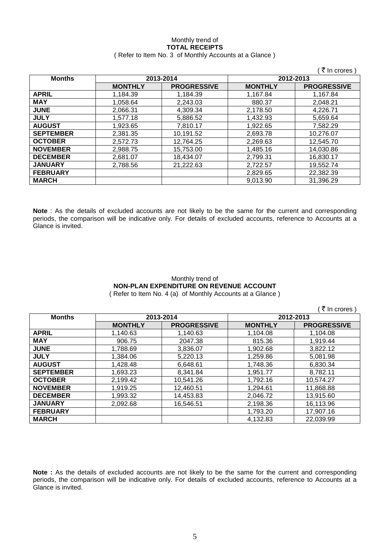### Monthly trend of **TOTAL RECEIPTS** ( Refer to Item No. 3 of Monthly Accounts at a Glance )

|                  |                |                    |                | ₹ In crores)       |
|------------------|----------------|--------------------|----------------|--------------------|
| <b>Months</b>    |                | 2013-2014          | 2012-2013      |                    |
|                  | <b>MONTHLY</b> | <b>PROGRESSIVE</b> | <b>MONTHLY</b> | <b>PROGRESSIVE</b> |
| <b>APRIL</b>     | 1,184.39       | 1,184.39           | 1,167.84       | 1,167.84           |
| <b>MAY</b>       | 1,058.64       | 2,243.03           | 880.37         | 2,048.21           |
| <b>JUNE</b>      | 2.066.31       | 4,309.34           | 2.178.50       | 4.226.71           |
| <b>JULY</b>      | 1.577.18       | 5,886.52           | 1,432.93       | 5.659.64           |
| <b>AUGUST</b>    | 1.923.65       | 7.810.17           | 1.922.65       | 7.582.29           |
| <b>SEPTEMBER</b> | 2,381.35       | 10,191.52          | 2,693.78       | 10,276.07          |
| <b>OCTOBER</b>   | 2.572.73       | 12,764.25          | 2,269.63       | 12,545.70          |
| <b>NOVEMBER</b>  | 2,988.75       | 15,753.00          | 1,485.16       | 14,030.86          |
| <b>DECEMBER</b>  | 2,681.07       | 18,434.07          | 2,799.31       | 16,830.17          |
| <b>JANUARY</b>   | 2.788.56       | 21,222.63          | 2,722.57       | 19.552.74          |
| <b>FEBRUARY</b>  |                |                    | 2,829.65       | 22,382.39          |
| <b>MARCH</b>     |                |                    | 9,013.90       | 31.396.29          |

**Note** : As the details of excluded accounts are not likely to be the same for the current and corresponding periods, the comparison will be indicative only. For details of excluded accounts, reference to Accounts at a Glance is invited.

### Monthly trend of **NON-PLAN EXPENDITURE ON REVENUE ACCOUNT** ( Refer to Item No. 4 (a) of Monthly Accounts at a Glance )

|                  |                |                    |                | (₹ In crores)      |
|------------------|----------------|--------------------|----------------|--------------------|
| <b>Months</b>    |                | 2013-2014          |                | 2012-2013          |
|                  | <b>MONTHLY</b> | <b>PROGRESSIVE</b> | <b>MONTHLY</b> | <b>PROGRESSIVE</b> |
| <b>APRIL</b>     | 1,140.63       | 1,140.63           | 1,104.08       | 1,104.08           |
| <b>MAY</b>       | 906.75         | 2047.38            | 815.36         | 1,919.44           |
| <b>JUNE</b>      | 1,788.69       | 3,836.07           | 1,902.68       | 3,822.12           |
| <b>JULY</b>      | 1,384.06       | 5,220.13           | 1,259.86       | 5,081.98           |
| <b>AUGUST</b>    | 1,428.48       | 6,648.61           | 1,748.36       | 6,830.34           |
| <b>SEPTEMBER</b> | 1,693.23       | 8,341.84           | 1,951.77       | 8,782.11           |
| <b>OCTOBER</b>   | 2,199.42       | 10,541.26          | 1,792.16       | 10,574.27          |
| <b>NOVEMBER</b>  | 1,919.25       | 12,460.51          | 1,294.61       | 11,868.88          |
| <b>DECEMBER</b>  | 1,993.32       | 14,453.83          | 2,046.72       | 13,915.60          |
| <b>JANUARY</b>   | 2,092.68       | 16,546.51          | 2,198.36       | 16,113.96          |
| <b>FEBRUARY</b>  |                |                    | 1,793.20       | 17,907.16          |
| <b>MARCH</b>     |                |                    | 4,132.83       | 22,039.99          |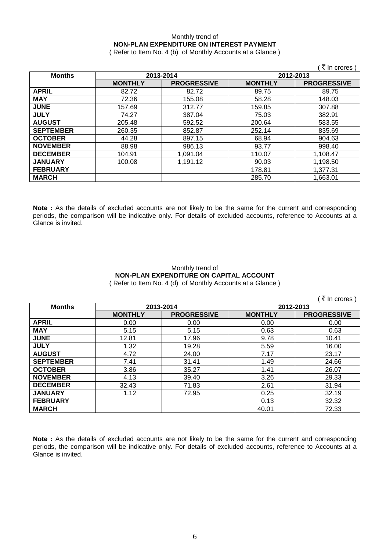## Monthly trend of **NON-PLAN EXPENDITURE ON INTEREST PAYMENT**

( Refer to Item No. 4 (b) of Monthly Accounts at a Glance )

|                  |                |                    |                | ₹ In crores        |
|------------------|----------------|--------------------|----------------|--------------------|
| <b>Months</b>    | 2013-2014      |                    | 2012-2013      |                    |
|                  | <b>MONTHLY</b> | <b>PROGRESSIVE</b> | <b>MONTHLY</b> | <b>PROGRESSIVE</b> |
| <b>APRIL</b>     | 82.72          | 82.72              | 89.75          | 89.75              |
| <b>MAY</b>       | 72.36          | 155.08             | 58.28          | 148.03             |
| <b>JUNE</b>      | 157.69         | 312.77             | 159.85         | 307.88             |
| <b>JULY</b>      | 74.27          | 387.04             | 75.03          | 382.91             |
| <b>AUGUST</b>    | 205.48         | 592.52             | 200.64         | 583.55             |
| <b>SEPTEMBER</b> | 260.35         | 852.87             | 252.14         | 835.69             |
| <b>OCTOBER</b>   | 44.28          | 897.15             | 68.94          | 904.63             |
| <b>NOVEMBER</b>  | 88.98          | 986.13             | 93.77          | 998.40             |
| <b>DECEMBER</b>  | 104.91         | 1,091.04           | 110.07         | 1,108.47           |
| <b>JANUARY</b>   | 100.08         | 1,191.12           | 90.03          | 1,198.50           |
| <b>FEBRUARY</b>  |                |                    | 178.81         | 1,377.31           |
| <b>MARCH</b>     |                |                    | 285.70         | 1,663.01           |

**Note :** As the details of excluded accounts are not likely to be the same for the current and corresponding periods, the comparison will be indicative only. For details of excluded accounts, reference to Accounts at a Glance is invited.

### Monthly trend of **NON-PLAN EXPENDITURE ON CAPITAL ACCOUNT** ( Refer to Item No. 4 (d) of Monthly Accounts at a Glance )

|                  |                |                    |                | ₹ In crores        |
|------------------|----------------|--------------------|----------------|--------------------|
| <b>Months</b>    |                | 2013-2014          | 2012-2013      |                    |
|                  | <b>MONTHLY</b> | <b>PROGRESSIVE</b> | <b>MONTHLY</b> | <b>PROGRESSIVE</b> |
| <b>APRIL</b>     | 0.00           | 0.00               | 0.00           | 0.00               |
| <b>MAY</b>       | 5.15           | 5.15               | 0.63           | 0.63               |
| <b>JUNE</b>      | 12.81          | 17.96              | 9.78           | 10.41              |
| <b>JULY</b>      | 1.32           | 19.28              | 5.59           | 16.00              |
| <b>AUGUST</b>    | 4.72           | 24.00              | 7.17           | 23.17              |
| <b>SEPTEMBER</b> | 7.41           | 31.41              | 1.49           | 24.66              |
| <b>OCTOBER</b>   | 3.86           | 35.27              | 1.41           | 26.07              |
| <b>NOVEMBER</b>  | 4.13           | 39.40              | 3.26           | 29.33              |
| <b>DECEMBER</b>  | 32.43          | 71.83              | 2.61           | 31.94              |
| <b>JANUARY</b>   | 1.12           | 72.95              | 0.25           | 32.19              |
| <b>FEBRUARY</b>  |                |                    | 0.13           | 32.32              |
| <b>MARCH</b>     |                |                    | 40.01          | 72.33              |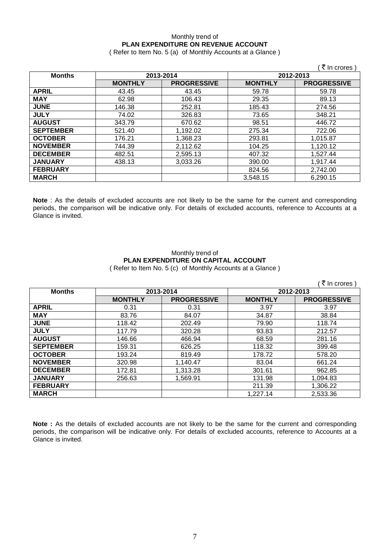### Monthly trend of **PLAN EXPENDITURE ON REVENUE ACCOUNT**

( Refer to Item No. 5 (a) of Monthly Accounts at a Glance )

|                  |                |                    |                | ्रे In crores )    |
|------------------|----------------|--------------------|----------------|--------------------|
| <b>Months</b>    | 2013-2014      |                    | 2012-2013      |                    |
|                  | <b>MONTHLY</b> | <b>PROGRESSIVE</b> | <b>MONTHLY</b> | <b>PROGRESSIVE</b> |
| <b>APRIL</b>     | 43.45          | 43.45              | 59.78          | 59.78              |
| <b>MAY</b>       | 62.98          | 106.43             | 29.35          | 89.13              |
| <b>JUNE</b>      | 146.38         | 252.81             | 185.43         | 274.56             |
| <b>JULY</b>      | 74.02          | 326.83             | 73.65          | 348.21             |
| <b>AUGUST</b>    | 343.79         | 670.62             | 98.51          | 446.72             |
| <b>SEPTEMBER</b> | 521.40         | 1,192.02           | 275.34         | 722.06             |
| <b>OCTOBER</b>   | 176.21         | 1,368.23           | 293.81         | 1,015.87           |
| <b>NOVEMBER</b>  | 744.39         | 2,112.62           | 104.25         | 1,120.12           |
| <b>DECEMBER</b>  | 482.51         | 2,595.13           | 407.32         | 1,527.44           |
| <b>JANUARY</b>   | 438.13         | 3,033.26           | 390.00         | 1,917.44           |
| <b>FEBRUARY</b>  |                |                    | 824.56         | 2,742.00           |
| <b>MARCH</b>     |                |                    | 3,548.15       | 6,290.15           |

**Note** : As the details of excluded accounts are not likely to be the same for the current and corresponding periods, the comparison will be indicative only. For details of excluded accounts, reference to Accounts at a Glance is invited.

### Monthly trend of **PLAN EXPENDITURE ON CAPITAL ACCOUNT** ( Refer to Item No. 5 (c) of Monthly Accounts at a Glance )

|                  |                |                    |                | ्रे In crores )    |
|------------------|----------------|--------------------|----------------|--------------------|
| <b>Months</b>    | 2013-2014      |                    | 2012-2013      |                    |
|                  | <b>MONTHLY</b> | <b>PROGRESSIVE</b> | <b>MONTHLY</b> | <b>PROGRESSIVE</b> |
| <b>APRIL</b>     | 0.31           | 0.31               | 3.97           | 3.97               |
| <b>MAY</b>       | 83.76          | 84.07              | 34.87          | 38.84              |
| <b>JUNE</b>      | 118.42         | 202.49             | 79.90          | 118.74             |
| <b>JULY</b>      | 117.79         | 320.28             | 93.83          | 212.57             |
| <b>AUGUST</b>    | 146.66         | 466.94             | 68.59          | 281.16             |
| <b>SEPTEMBER</b> | 159.31         | 626.25             | 118.32         | 399.48             |
| <b>OCTOBER</b>   | 193.24         | 819.49             | 178.72         | 578.20             |
| <b>NOVEMBER</b>  | 320.98         | 1,140.47           | 83.04          | 661.24             |
| <b>DECEMBER</b>  | 172.81         | 1,313.28           | 301.61         | 962.85             |
| <b>JANUARY</b>   | 256.63         | 1,569.91           | 131.98         | 1,094.83           |
| <b>FEBRUARY</b>  |                |                    | 211.39         | 1,306.22           |
| <b>MARCH</b>     |                |                    | 1,227.14       | 2,533.36           |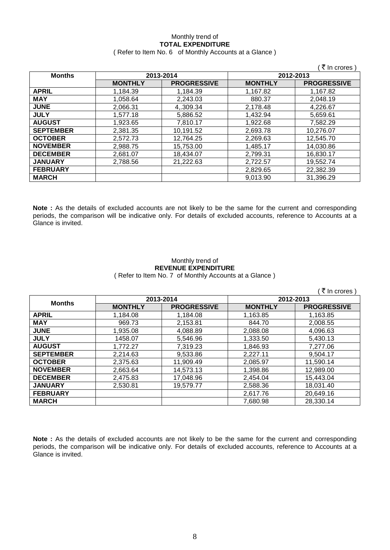### Monthly trend of **TOTAL EXPENDITURE** ( Refer to Item No. 6 of Monthly Accounts at a Glance )

|                  |                |                    |                | (₹ In crores)      |
|------------------|----------------|--------------------|----------------|--------------------|
| <b>Months</b>    | 2013-2014      |                    | 2012-2013      |                    |
|                  | <b>MONTHLY</b> | <b>PROGRESSIVE</b> | <b>MONTHLY</b> | <b>PROGRESSIVE</b> |
| <b>APRIL</b>     | 1,184.39       | 1,184.39           | 1,167.82       | 1,167.82           |
| <b>MAY</b>       | 1,058.64       | 2,243.03           | 880.37         | 2,048.19           |
| <b>JUNE</b>      | 2,066.31       | 4,.309.34          | 2,178.48       | 4,226.67           |
| <b>JULY</b>      | 1,577.18       | 5,886.52           | 1,432.94       | 5,659.61           |
| <b>AUGUST</b>    | 1,923.65       | 7,810.17           | 1,922.68       | 7,582.29           |
| <b>SEPTEMBER</b> | 2,381.35       | 10,191.52          | 2,693.78       | 10,276.07          |
| <b>OCTOBER</b>   | 2,572.73       | 12,764.25          | 2,269.63       | 12,545.70          |
| <b>NOVEMBER</b>  | 2,988.75       | 15,753.00          | 1,485.17       | 14,030.86          |
| <b>DECEMBER</b>  | 2,681.07       | 18,434.07          | 2,799.31       | 16,830.17          |
| <b>JANUARY</b>   | 2,788.56       | 21,222.63          | 2,722.57       | 19,552.74          |
| <b>FEBRUARY</b>  |                |                    | 2,829.65       | 22,382.39          |
| <b>MARCH</b>     |                |                    | 9,013.90       | 31,396.29          |

**Note :** As the details of excluded accounts are not likely to be the same for the current and corresponding periods, the comparison will be indicative only. For details of excluded accounts, reference to Accounts at a Glance is invited.

#### Monthly trend of **REVENUE EXPENDITURE** ( Refer to Item No. 7 of Monthly Accounts at a Glance )

 $($   $\bar{z}$  In crores )

| <b>Months</b>    | 2013-2014      |                    | 2012-2013      |                    |
|------------------|----------------|--------------------|----------------|--------------------|
|                  | <b>MONTHLY</b> | <b>PROGRESSIVE</b> | <b>MONTHLY</b> | <b>PROGRESSIVE</b> |
| <b>APRIL</b>     | 1,184.08       | 1,184.08           | 1,163.85       | 1,163.85           |
| <b>MAY</b>       | 969.73         | 2,153.81           | 844.70         | 2,008.55           |
| <b>JUNE</b>      | 1,935.08       | 4,088.89           | 2,088.08       | 4,096.63           |
| <b>JULY</b>      | 1458.07        | 5,546.96           | 1,333.50       | 5,430.13           |
| <b>AUGUST</b>    | 1,772.27       | 7,319.23           | 1,846.93       | 7,277.06           |
| <b>SEPTEMBER</b> | 2,214.63       | 9,533.86           | 2,227.11       | 9,504.17           |
| <b>OCTOBER</b>   | 2,375.63       | 11,909.49          | 2.085.97       | 11,590.14          |
| <b>NOVEMBER</b>  | 2,663.64       | 14,573.13          | 1,398.86       | 12,989.00          |
| <b>DECEMBER</b>  | 2,475.83       | 17,048.96          | 2.454.04       | 15,443.04          |
| <b>JANUARY</b>   | 2,530.81       | 19,579.77          | 2,588.36       | 18,031.40          |
| <b>FEBRUARY</b>  |                |                    | 2,617.76       | 20,649.16          |
| <b>MARCH</b>     |                |                    | 7.680.98       | 28,330.14          |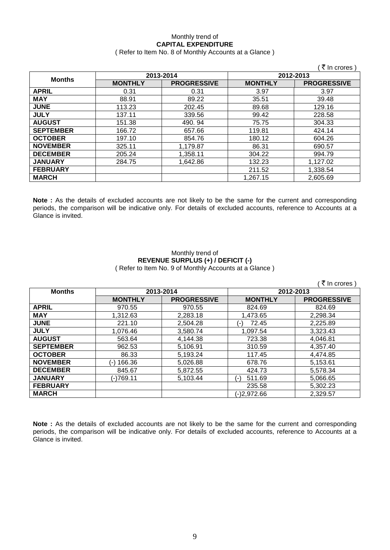### Monthly trend of **CAPITAL EXPENDITURE**

### ( Refer to Item No. 8 of Monthly Accounts at a Glance )

|                  |                |                    |                | ₹ In crores )      |
|------------------|----------------|--------------------|----------------|--------------------|
| <b>Months</b>    | 2013-2014      |                    | 2012-2013      |                    |
|                  | <b>MONTHLY</b> | <b>PROGRESSIVE</b> | <b>MONTHLY</b> | <b>PROGRESSIVE</b> |
| <b>APRIL</b>     | 0.31           | 0.31               | 3.97           | 3.97               |
| <b>MAY</b>       | 88.91          | 89.22              | 35.51          | 39.48              |
| <b>JUNE</b>      | 113.23         | 202.45             | 89.68          | 129.16             |
| <b>JULY</b>      | 137.11         | 339.56             | 99.42          | 228.58             |
| <b>AUGUST</b>    | 151.38         | 490.94             | 75.75          | 304.33             |
| <b>SEPTEMBER</b> | 166.72         | 657.66             | 119.81         | 424.14             |
| <b>OCTOBER</b>   | 197.10         | 854.76             | 180.12         | 604.26             |
| <b>NOVEMBER</b>  | 325.11         | 1,179.87           | 86.31          | 690.57             |
| <b>DECEMBER</b>  | 205.24         | 1,358.11           | 304.22         | 994.79             |
| <b>JANUARY</b>   | 284.75         | 1,642.86           | 132.23         | 1,127.02           |
| <b>FEBRUARY</b>  |                |                    | 211.52         | 1,338.54           |
| <b>MARCH</b>     |                |                    | 1,267.15       | 2,605.69           |

**Note :** As the details of excluded accounts are not likely to be the same for the current and corresponding periods, the comparison will be indicative only. For details of excluded accounts, reference to Accounts at a Glance is invited.

### Monthly trend of **REVENUE SURPLUS (+) / DEFICIT (-)** ( Refer to Item No. 9 of Monthly Accounts at a Glance )

|                  |                |                    |                | (₹ In crores)      |
|------------------|----------------|--------------------|----------------|--------------------|
| <b>Months</b>    | 2013-2014      |                    | 2012-2013      |                    |
|                  | <b>MONTHLY</b> | <b>PROGRESSIVE</b> | <b>MONTHLY</b> | <b>PROGRESSIVE</b> |
| <b>APRIL</b>     | 970.55         | 970.55             | 824.69         | 824.69             |
| <b>MAY</b>       | 1,312.63       | 2,283.18           | 1,473.65       | 2,298.34           |
| <b>JUNE</b>      | 221.10         | 2,504.28           | 72.45<br>( – ) | 2,225.89           |
| <b>JULY</b>      | 1,076.46       | 3,580.74           | 1,097.54       | 3,323.43           |
| <b>AUGUST</b>    | 563.64         | 4,144.38           | 723.38         | 4,046.81           |
| <b>SEPTEMBER</b> | 962.53         | 5,106.91           | 310.59         | 4,357.40           |
| <b>OCTOBER</b>   | 86.33          | 5,193.24           | 117.45         | 4,474.85           |
| <b>NOVEMBER</b>  | (-) 166.36     | 5,026.88           | 678.76         | 5,153.61           |
| <b>DECEMBER</b>  | 845.67         | 5,872.55           | 424.73         | 5,578.34           |
| <b>JANUARY</b>   | (-)769.11      | 5,103.44           | 511.69<br>(-)  | 5,066.65           |
| <b>FEBRUARY</b>  |                |                    | 235.58         | 5,302.23           |
| <b>MARCH</b>     |                |                    | (-)2,972.66    | 2,329.57           |